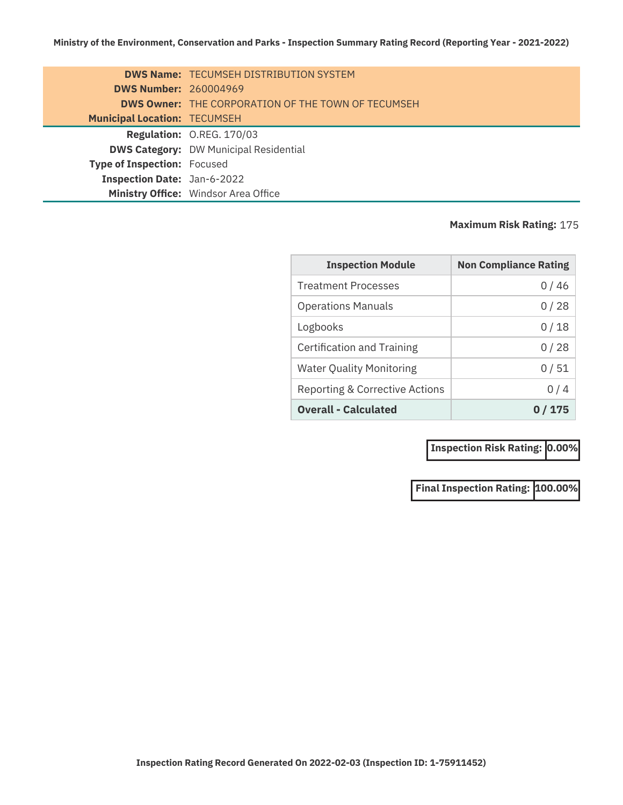|                                     | <b>DWS Name: TECUMSEH DISTRIBUTION SYSTEM</b>             |
|-------------------------------------|-----------------------------------------------------------|
| <b>DWS Number: 260004969</b>        |                                                           |
|                                     | <b>DWS Owner: THE CORPORATION OF THE TOWN OF TECUMSEH</b> |
| <b>Municipal Location: TECUMSEH</b> |                                                           |
|                                     | Regulation: O.REG. 170/03                                 |
|                                     | <b>DWS Category: DW Municipal Residential</b>             |
| <b>Type of Inspection: Focused</b>  |                                                           |
| <b>Inspection Date: Jan-6-2022</b>  |                                                           |
|                                     | Ministry Office: Windsor Area Office                      |

## **Maximum Risk Rating:** 175

| <b>Inspection Module</b>        | <b>Non Compliance Rating</b> |
|---------------------------------|------------------------------|
| <b>Treatment Processes</b>      | 0 / 46                       |
| <b>Operations Manuals</b>       | 0/28                         |
| Logbooks                        | 0/18                         |
| Certification and Training      | 0/28                         |
| <b>Water Quality Monitoring</b> | 0/51                         |
| Reporting & Corrective Actions  | 0/4                          |
| <b>Overall - Calculated</b>     | 175                          |

**Inspection Risk Rating: 0.00%** 

**Final Inspection Rating: 100.00%**